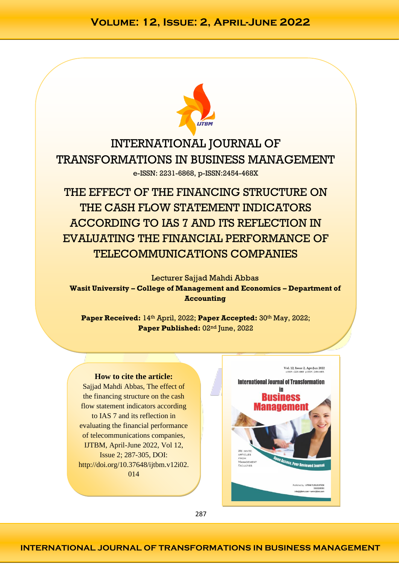

INTERNATIONAL JOURNAL OF TRANSFORMATIONS IN BUSINESS MANAGEMENT e-ISSN: 2231-6868, p-ISSN:2454-468X

THE EFFECT OF THE FINANCING STRUCTURE ON THE CASH FLOW STATEMENT INDICATORS ACCORDING TO IAS 7 AND ITS REFLECTION IN EVALUATING THE FINANCIAL PERFORMANCE OF TELECOMMUNICATIONS COMPANIES

Lecturer Sajjad Mahdi Abbas **Wasit University – College of Management and Economics – Department of Accounting**

Paper Received: 14<sup>th</sup> April, 2022; Paper Accepted: 30<sup>th</sup> May, 2022; Paper Published: 02<sup>nd</sup> June, 2022

#### **How to cite the article:**

Sajjad Mahdi Abbas, The effect of the financing structure on the cash flow statement indicators according to IAS 7 and its reflection in evaluating the financial performance of telecommunications companies, IJTBM, April-June 2022, Vol 12, Issue 2; 287-305, DOI: http://doi.org/10.37648/ijtbm.v12i02. 014



287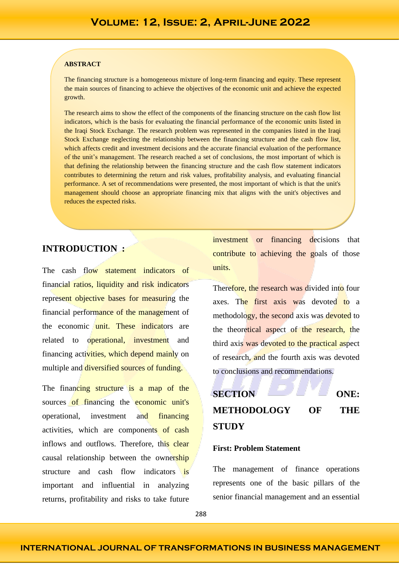#### **ABSTRACT**

The financing structure is a homogeneous mixture of long-term financing and equity. These represent the main sources of financing to achieve the objectives of the economic unit and achieve the expected growth.

The research aims to show the effect of the components of the financing structure on the cash flow list indicators, which is the basis for evaluating the financial performance of the economic units listed in the Iraqi Stock Exchange. The research problem was represented in the companies listed in the Iraqi Stock Exchange neglecting the relationship between the financing structure and the cash flow list, which affects credit and investment decisions and the accurate financial evaluation of the performance of the unit's management. The research reached a set of conclusions, the most important of which is that defining the relationship between the financing structure and the cash flow statement indicators contributes to determining the return and risk values, profitability analysis, and evaluating financial performance. A set of recommendations were presented, the most important of which is that the unit's management should choose an appropriate financing mix that aligns with the unit's objectives and reduces the expected risks.

### **INTRODUCTION :**

The cash flow statement indicators of financial ratios, liquidity and risk indicators represent objective bases for measuring the financial performance of the management of the economic unit. These indicators are related to operational, investment and financing activities, which depend mainly on multiple and diversified sources of funding.

The financing structure is a map of the sources of financing the economic unit's operational, investment and financing activities, which are components of cash inflows and outflows. Therefore, this clear causal relationship between the ownership structure and cash flow indicators is important and influential in analyzing returns, profitability and risks to take future

investment or financing decisions that contribute to achieving the goals of those units.

Therefore, the research was divided into four axes. The first axis was devoted to a methodology, the second axis was devoted to the theoretical aspect of the research, the third axis was devoted to the practical aspect of research, and the fourth axis was devoted to conclusions and recommendations.



### **First: Problem Statement**

The management of finance operations represents one of the basic pillars of the senior financial management and an essential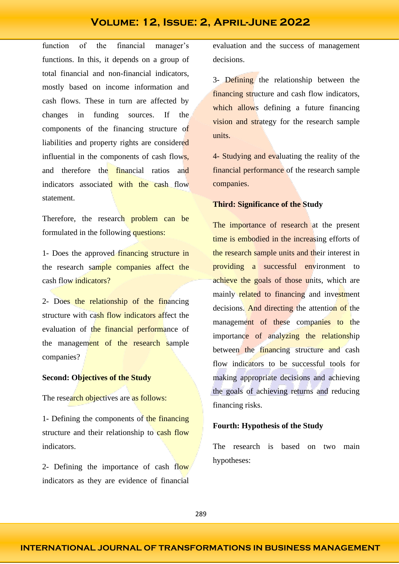function of the financial manager's functions. In this, it depends on a group of total financial and non-financial indicators, mostly based on income information and cash flows. These in turn are affected by changes in funding sources. If the components of the financing structure of liabilities and property rights are considered influential in the components of cash flows, and therefore the financial ratios and indicators associated with the cash flow statement.

Therefore, the research problem can be formulated in the following questions:

1- Does the approved financing structure in the research sample companies affect the cash flow indicators?

2- Does the relationship of the financing structure with cash flow indicators affect the evaluation of the financial performance of the management of the research sample companies?

### **Second: Objectives of the Study**

The research objectives are as follows:

1- Defining the components of the financing structure and their relationship to cash flow indicators.

2- Defining the importance of cash flow indicators as they are evidence of financial

evaluation and the success of management decisions.

3- Defining the relationship between the financing structure and cash flow indicators, which allows defining a future financing vision and strategy for the research sample units.

4- Studying and evaluating the reality of the financial performance of the research sample companies.

### **Third: Significance of the Study**

The importance of research at the present time is embodied in the increasing efforts of the research sample units and their interest in providing a successful environment to achieve the goals of those units, which are mainly **related** to financing and investment decisions. And directing the attention of the management of these companies to the importance of analyzing the relationship between the financing structure and cash flow indicators to be successful tools for making appropriate decisions and achieving the goals of achieving returns and reducing financing risks.

### **Fourth: Hypothesis of the Study**

The research is based on two main hypotheses: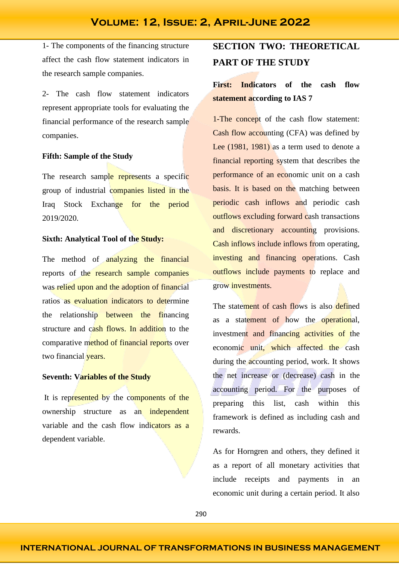1- The components of the financing structure affect the cash flow statement indicators in the research sample companies.

2- The cash flow statement indicators represent appropriate tools for evaluating the financial performance of the research sample companies.

#### **Fifth: Sample of the Study**

The research sample represents a specific group of industrial companies listed in the Iraq Stock Exchange for the period 2019/2020.

### **Sixth: Analytical Tool of the Study:**

The method of analyzing the financial reports of the research sample companies was relied upon and the adoption of financial ratios as evaluation indicators to determine the relationship between the financing structure and cash flows. In addition to the comparative method of financial reports over two financial years.

### **Seventh: Variables of the Study**

It is represented by the components of the ownership structure as an independent variable and the cash flow indicators as a dependent variable.

# **SECTION TWO: THEORETICAL PART OF THE STUDY**

# **First: Indicators of the cash flow statement according to IAS 7**

1-The concept of the cash flow statement: Cash flow accounting (CFA) was defined by Lee (1981, 1981) as a term used to denote a financial reporting system that describes the performance of an economic unit on a cash basis. It is based on the matching between periodic cash inflows and periodic cash outflows excluding forward cash transactions and discretionary accounting provisions. Cash inflows include inflows from operating, investing and financing operations. Cash outflows include payments to replace and grow investments.

The statement of cash flows is also defined as a statement of how the operational, investment and financing activities of the economic unit, which affected the cash during the accounting period, work. It shows the net increase or (decrease) cash in the accounting period. For the purposes of preparing this list, cash within this framework is defined as including cash and rewards.

As for Horngren and others, they defined it as a report of all monetary activities that include receipts and payments in an economic unit during a certain period. It also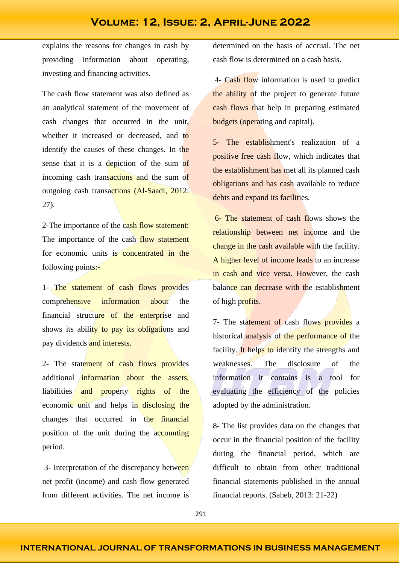explains the reasons for changes in cash by providing information about operating, investing and financing activities.

The cash flow statement was also defined as an analytical statement of the movement of cash changes that occurred in the unit, whether it increased or decreased, and to identify the causes of these changes. In the sense that it is a depiction of the sum of incoming cash transactions and the sum of outgoing cash transactions (Al-Saadi, 2012: 27).

2-The importance of the cash flow statement: The importance of the cash flow statement for economic units is concentrated in the following points:-

1- The statement of cash flows provides comprehensive information about the financial structure of the enterprise and shows its ability to pay its obligations and pay dividends and interests.

2- The statement of cash flows provides additional information about the assets, liabilities and property rights of the economic unit and helps in disclosing the changes that occurred in the financial position of the unit during the accounting period.

3- Interpretation of the discrepancy between net profit (income) and cash flow generated from different activities. The net income is

determined on the basis of accrual. The net cash flow is determined on a cash basis.

4- Cash flow information is used to predict the ability of the project to generate future cash flows that help in preparing estimated budgets (operating and capital).

5- The establishment's realization of a positive free cash flow, which indicates that the establishment has met all its planned cash obligations and has cash available to reduce debts and expand its facilities.

6- The statement of cash flows shows the relationship between net income and the change in the cash available with the facility. A higher level of income leads to an increase in cash and vice versa. However, the cash balance can decrease with the establishment of high profits.

7- The statement of cash flows provides a historical analysis of the performance of the facility. It helps to identify the strengths and weaknesses. The disclosure of the information it contains is a tool for evaluating the efficiency of the policies adopted by the administration.

8- The list provides data on the changes that occur in the financial position of the facility during the financial period, which are difficult to obtain from other traditional financial statements published in the annual financial reports. (Saheb, 2013: 21-22)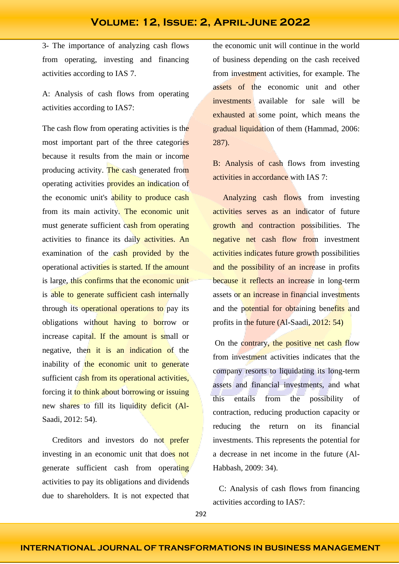3- The importance of analyzing cash flows from operating, investing and financing activities according to IAS 7.

A: Analysis of cash flows from operating activities according to IAS7:

The cash flow from operating activities is the most important part of the three categories because it results from the main or income producing activity. The cash generated from operating activities provides an indication of the economic unit's ability to produce cash from its main activity. The economic unit must generate sufficient cash from operating activities to finance its daily activities. An examination of the cash provided by the operational activities is started. If the amount is large, this confirms that the economic unit is able to generate sufficient cash internally through its operational operations to pay its obligations without having to borrow or increase capital. If the amount is small or negative, then it is an indication of the inability of the economic unit to generate sufficient cash from its operational activities, forcing it to think about borrowing or issuing new shares to fill its liquidity deficit (Al-Saadi, 2012: 54).

 Creditors and investors do not prefer investing in an economic unit that does not generate sufficient cash from operating activities to pay its obligations and dividends due to shareholders. It is not expected that

the economic unit will continue in the world of business depending on the cash received from investment activities, for example. The assets of the economic unit and other investments available for sale will be exhausted at some point, which means the gradual liquidation of them (Hammad, 2006: 287).

B: Analysis of cash flows from investing activities in accordance with IAS 7:

 Analyzing cash flows from investing activities serves as an indicator of future growth and contraction possibilities. The negative net cash flow from investment activities indicates future growth possibilities and the possibility of an increase in profits because it reflects an increase in long-term assets or an increase in financial investments and the potential for obtaining benefits and profits in the future (Al-Saadi, 2012: 54)

On the contrary, the positive net cash flow from investment activities indicates that the company resorts to liquidating its long-term assets and financial investments, and what this entails from the possibility of contraction, reducing production capacity or reducing the return on its financial investments. This represents the potential for a decrease in net income in the future (Al-Habbash, 2009: 34).

 C: Analysis of cash flows from financing activities according to IAS7: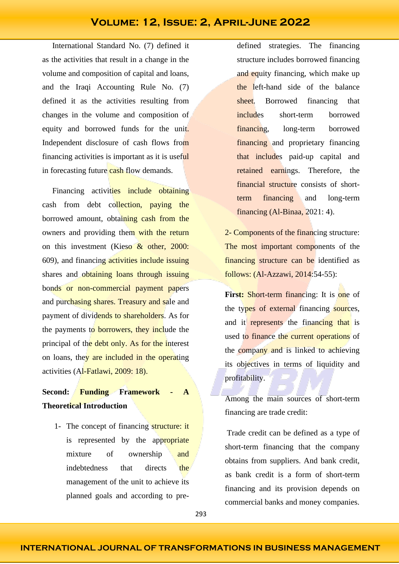International Standard No. (7) defined it as the activities that result in a change in the volume and composition of capital and loans, and the Iraqi Accounting Rule No. (7) defined it as the activities resulting from changes in the volume and composition of equity and borrowed funds for the unit. Independent disclosure of cash flows from financing activities is important as it is useful in forecasting future cash flow demands.

Financing activities include obtaining cash from debt collection, paying the borrowed amount, obtaining cash from the owners and providing them with the return on this investment (Kieso & other, 2000: 609), and financing activities include issuing shares and obtaining loans through issuing bonds or non-commercial payment papers and purchasing shares. Treasury and sale and payment of dividends to shareholders. As for the payments to **borrowers**, they include the principal of the debt only. As for the interest on loans, they are included in the operating activities (Al-Fatlawi, 2009: 18).

# **Second: Funding Framework - A Theoretical Introduction**

1- The concept of financing structure: it is represented by the appropriate mixture of ownership and indebtedness that directs the management of the unit to achieve its planned goals and according to predefined strategies. The financing structure includes borrowed financing and equity financing, which make up the left-hand side of the balance sheet. Borrowed financing that includes short-term borrowed financing, long-term borrowed financing and proprietary financing that includes paid-up capital and retained earnings. Therefore, the financial structure consists of shortterm financing and long-term financing (Al-Binaa, 2021: 4).

2- Components of the financing structure: The most important components of the financing structure can be identified as follows: (Al-Azzawi, 2014:54-55):

**First:** Short-term financing: It is one of the types of external financing sources, and it represents the financing that is used to finance the current operations of the company and is linked to achieving its objectives in terms of liquidity and profitability.

Among the main sources of short-term financing are trade credit:

Trade credit can be defined as a type of short-term financing that the company obtains from suppliers. And bank credit, as bank credit is a form of short-term financing and its provision depends on commercial banks and money companies.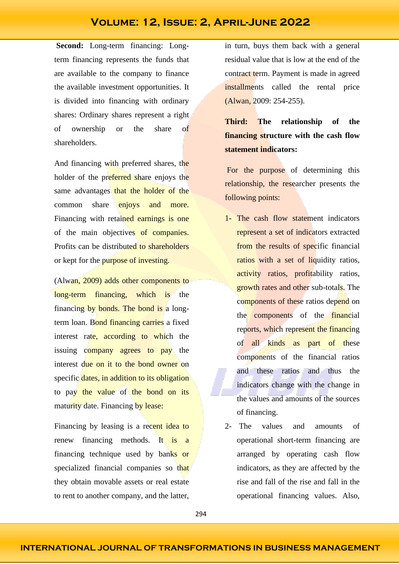**Second:** Long-term financing: Longterm financing represents the funds that are available to the company to finance the available investment opportunities. It is divided into financing with ordinary shares: Ordinary shares represent a right of ownership or the share of shareholders.

And financing with preferred shares, the holder of the preferred share enjoys the same advantages that the holder of the common share enjoys and more. Financing with retained earnings is one of the main objectives of companies. Profits can be distributed to shareholders or kept for the purpose of investing.

(Alwan, 2009) adds other components to long-term financing, which is the financing by bonds. The bond is a longterm loan. Bond financing carries a fixed interest rate, according to which the issuing company agrees to pay the interest due on it to the bond owner on specific dates, in addition to its obligation to pay the value of the bond on its maturity date. Financing by lease:

Financing by leasing is a recent idea to renew financing methods. It is a financing technique used by banks or specialized financial companies so that they obtain movable assets or real estate to rent to another company, and the latter, in turn, buys them back with a general residual value that is low at the end of the contract term. Payment is made in agreed installments called the rental price (Alwan, 2009: 254-255).

**Third: The relationship of the financing structure with the cash flow statement indicators:**

For the purpose of determining this relationship, the researcher presents the following points:

- 1- The cash flow statement indicators represent a set of indicators extracted from the results of specific financial ratios with a set of liquidity ratios, activity ratios, profitability ratios, growth rates and other sub-totals. The components of these ratios depend on the components of the **financial** reports, which represent the financing of all kinds as part of these components of the financial ratios and these ratios and thus the indicators change with the change in the values and amounts of the sources of financing.
- 2- The values and amounts of operational short-term financing are arranged by operating cash flow indicators, as they are affected by the rise and fall of the rise and fall in the operational financing values. Also,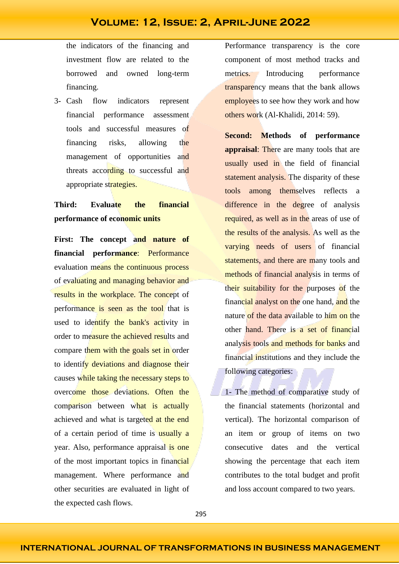the indicators of the financing and investment flow are related to the borrowed and owned long-term financing.

3- Cash flow indicators represent financial performance assessment tools and successful measures of financing risks, allowing the management of opportunities and threats according to successful and appropriate strategies.

# **Third: Evaluate the financial performance of economic units**

**First: The concept and nature of financial performance**: Performance evaluation means the continuous process of evaluating and managing behavior and results in the workplace. The concept of performance is seen as the tool that is used to identify the bank's activity in order to measure the achieved results and compare them with the goals set in order to identify deviations and diagnose their causes while taking the necessary steps to overcome those deviations. Often the comparison between what is actually achieved and what is targeted at the end of a certain period of time is usually a year. Also, performance appraisal is one of the most important topics in financial management. Where performance and other securities are evaluated in light of the expected cash flows.

Performance transparency is the core component of most method tracks and metrics. Introducing performance transparency means that the bank allows employees to see how they work and how others work (Al-Khalidi, 2014: 59).

**Second: Methods of performance appraisal:** There are many tools that are usually used in the field of financial statement analysis. The disparity of these tools among themselves reflects a difference in the degree of analysis required, as well as in the areas of use of the results of the analysis. As well as the varying needs of users of financial statements, and there are many tools and methods of financial analysis in terms of their suitability for the purposes of the financial analyst on the one hand, and the nature of the data available to him on the other hand. There is a set of financial analysis tools and methods for banks and financial institutions and they include the following categories:

1- The method of comparative study of the financial statements (horizontal and vertical). The horizontal comparison of an item or group of items on two consecutive dates and the vertical showing the percentage that each item contributes to the total budget and profit and loss account compared to two years.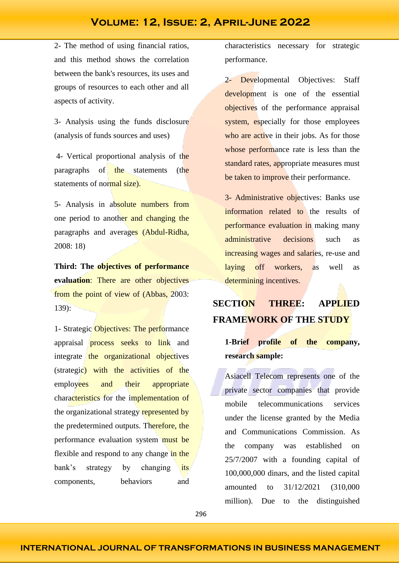2- The method of using financial ratios, and this method shows the correlation between the bank's resources, its uses and groups of resources to each other and all aspects of activity.

3- Analysis using the funds disclosure (analysis of funds sources and uses)

4- Vertical proportional analysis of the paragraphs of the statements (the statements of normal size).

5- Analysis in absolute numbers from one period to another and changing the paragraphs and averages (Abdul-Ridha, 2008: 18)

**Third: The objectives of performance evaluation**: There are other objectives from the point of view of (Abbas, 2003: 139):

1- Strategic Objectives: The performance appraisal process seeks to link and integrate the organizational objectives (strategic) with the activities of the employees and their appropriate characteristics for the implementation of the organizational strategy represented by the predetermined outputs. Therefore, the performance evaluation system must be flexible and respond to any change in the bank's strategy by changing its components, behaviors and

characteristics necessary for strategic performance.

2- Developmental Objectives: Staff development is one of the essential objectives of the performance appraisal system, especially for those employees who are active in their jobs. As for those whose performance rate is less than the standard rates, appropriate measures must be taken to improve their performance.

3- Administrative objectives: Banks use information related to the results of performance evaluation in making many administrative decisions such as increasing wages and salaries, re-use and laying off workers, as well as determining incentives.

# **SECTION THREE: APPLIED FRAMEWORK OF THE STUDY**

## **1-Brief profile of the company, research sample:**

Asiacell Telecom represents one of the private sector companies that provide mobile telecommunications services under the license granted by the Media and Communications Commission. As the company was established on 25/7/2007 with a founding capital of 100,000,000 dinars, and the listed capital amounted to 31/12/2021 (310,000 million). Due to the distinguished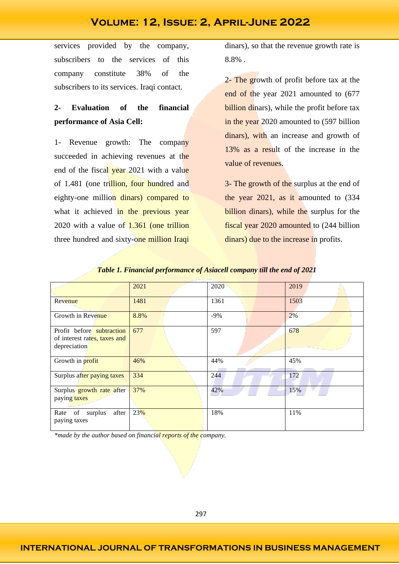services provided by the company, subscribers to the services of this company constitute 38% of the subscribers to its services. Iraqi contact.

# **2- Evaluation of the financial performance of Asia Cell:**

1- Revenue growth: The company succeeded in achieving revenues at the end of the fiscal year 2021 with a value of 1.481 (one trillion, four hundred and eighty-one million dinars) compared to what it achieved in the previous year 2020 with a value of 1.361 (one trillion three hundred and sixty-one million Iraqi

dinars), so that the revenue growth rate is 8.8% .

2- The growth of profit before tax at the end of the year 2021 amounted to (677 billion dinars), while the profit before tax in the year 2020 amounted to (597 billion dinars), with an increase and growth of 13% as a result of the increase in the value of revenues.

3- The growth of the surplus at the end of the year 2021, as it amounted to (334 billion dinars), while the surplus for the fiscal year 2020 amounted to (244 billion dinars) due to the increase in profits.

|                                                                           | 2021 | 2020  | 2019 |
|---------------------------------------------------------------------------|------|-------|------|
| Revenue                                                                   | 1481 | 1361  | 1503 |
| Growth in Revenue                                                         | 8.8% | $-9%$ | 2%   |
| Profit before subtraction<br>of interest rates, taxes and<br>depreciation | 677  | 597   | 678  |
| Growth in profit                                                          | 46%  | 44%   | 45%  |
| Surplus after paying taxes                                                | 334  | 244   | 172  |
| Surplus growth rate after<br>paying taxes                                 | 37%  | 42%   | 15%  |
| Rate of surplus<br>after<br>paying taxes                                  | 23%  | 18%   | 11%  |

*Table 1. Financial performance of Asiacell company till the end of 2021*

*\*made by the author based on financial reports of the company.*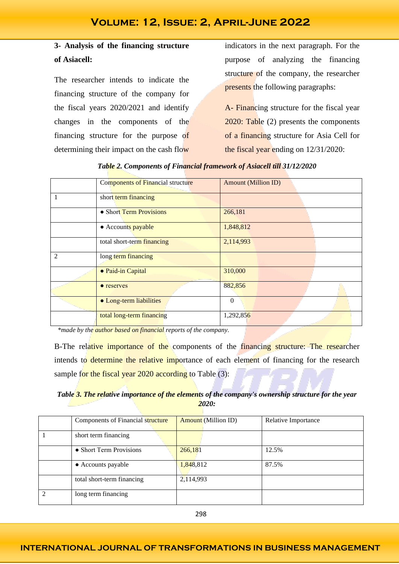# **3- Analysis of the financing structure of Asiacell:**

The researcher intends to indicate the financing structure of the company for the fiscal years 2020/2021 and identify changes in the components of the financing structure for the purpose of determining their impact on the cash flow

indicators in the next paragraph. For the purpose of analyzing the financing structure of the company, the researcher presents the following paragraphs:

A- Financing structure for the fiscal year 2020: Table (2) presents the components of a financing structure for Asia Cell for the fiscal year ending on 12/31/2020:

| Table 2. Components of Financial framework of Asiacell till 31/12/2020 |  |  |
|------------------------------------------------------------------------|--|--|
|                                                                        |  |  |

|                | Components of Financial structure | <b>Amount (Million ID)</b> |
|----------------|-----------------------------------|----------------------------|
|                | short term financing              |                            |
|                | • Short Term Provisions           | 266,181                    |
|                | • Accounts payable                | 1,848,812                  |
|                | total short-term financing        | 2,114,993                  |
| $\overline{2}$ | long term financing               |                            |
|                | • Paid-in Capital                 | 310,000                    |
|                | • reserves                        | 882,856                    |
|                | • Long-term liabilities           | $\Omega$                   |
|                | total long-term financing         | 1,292,856                  |

*\*made by the author based on financial reports of the company.*

B-The relative importance of the components of the financing structure: The researcher intends to determine the relative importance of each element of financing for the research sample for the fiscal year 2020 according to Table (3):

*Table 3. The relative importance of the elements of the company's ownership structure for the year 2020:*

| Components of Financial structure | <b>Amount</b> (Million ID) | Relative Importance |
|-----------------------------------|----------------------------|---------------------|
| short term financing              |                            |                     |
| • Short Term Provisions           | 266,181                    | 12.5%               |
| • Accounts payable                | 1,848,812                  | 87.5%               |
| total short-term financing        | 2,114,993                  |                     |
| long term financing               |                            |                     |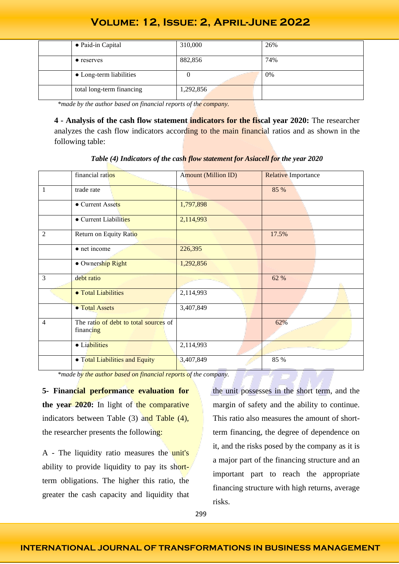| • Paid-in Capital         | 310,000   | 26% |
|---------------------------|-----------|-----|
| $\bullet$ reserves        | 882,856   | 74% |
| • Long-term liabilities   |           | 0%  |
| total long-term financing | 1,292,856 |     |

 *\*made by the author based on financial reports of the company.*

**4 - Analysis of the cash flow statement indicators for the fiscal year 2020:** The researcher analyzes the cash flow indicators according to the main financial ratios and as shown in the following table:

|                | financial ratios                                   | <b>Amount (Million ID)</b> | <b>Relative Importance</b> |
|----------------|----------------------------------------------------|----------------------------|----------------------------|
| $\overline{1}$ | trade rate                                         |                            | 85 %                       |
|                | • Current Assets                                   | 1,797,898                  |                            |
|                | • Current Liabilities                              | 2,114,993                  |                            |
| $\overline{2}$ | Return on Equity Ratio                             |                            | 17.5%                      |
|                | $\bullet$ net income                               | 226,395                    |                            |
|                | · Ownership Right                                  | 1,292,856                  |                            |
| $\overline{3}$ | debt ratio                                         |                            | 62 %                       |
|                | <b>• Total Liabilities</b>                         | 2,114,993                  |                            |
|                | • Total Assets                                     | 3,407,849                  |                            |
| $\overline{4}$ | The ratio of debt to total sources of<br>financing |                            | 62%                        |
|                | · Liabilities                                      | 2,114,993                  |                            |
|                | • Total Liabilities and Equity                     | 3,407,849                  | 85 %                       |

*Table (4) Indicators of the cash flow statement for Asiacell for the year 2020*

 *\*made by the author based on financial reports of the company.*

**5- Financial performance evaluation for**  the year 2020: In light of the comparative indicators between Table  $(3)$  and Table  $(4)$ , the researcher presents the following:

A - The liquidity ratio measures the unit's ability to provide liquidity to pay its shortterm obligations. The higher this ratio, the greater the cash capacity and liquidity that the unit possesses in the short term, and the margin of safety and the ability to continue. This ratio also measures the amount of shortterm financing, the degree of dependence on it, and the risks posed by the company as it is a major part of the financing structure and an important part to reach the appropriate financing structure with high returns, average risks.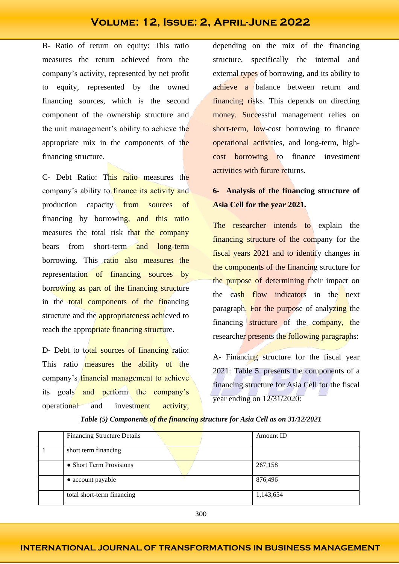B- Ratio of return on equity: This ratio measures the return achieved from the company's activity, represented by net profit to equity, represented by the owned financing sources, which is the second component of the ownership structure and the unit management's ability to achieve the appropriate mix in the components of the financing structure.

C- Debt Ratio: This ratio measures the company's ability to *finance its activity and* production capacity from sources of financing by borrowing, and this ratio measures the total risk that the company bears from short-term and long-term borrowing. This ratio also measures the representation of financing sources by borrowing as part of the financing structure in the total components of the financing structure and the **appropriateness** achieved to reach the appropriate financing structure.

D- Debt to total sources of financing ratio: This ratio **measures** the ability of the company's financial management to achieve its goals and perform the company's operational and investment activity,

depending on the mix of the financing structure, specifically the internal and external types of borrowing, and its ability to achieve a balance between return and financing risks. This depends on directing money. Successful management relies on short-term, low-cost borrowing to finance operational activities, and long-term, highcost borrowing to finance investment activities with future returns.

# **6- Analysis of the financing structure of Asia Cell for the year 2021.**

The researcher intends to explain the financing structure of the company for the fiscal years 2021 and to identify changes in the components of the financing structure for the purpose of determining their impact on the cash flow indicators in the next paragraph. For the purpose of analyzing the financing structure of the company, the researcher presents the following paragraphs:

A- Financing structure for the fiscal year 2021: Table 5. presents the components of a financing structure for Asia Cell for the fiscal year ending on 12/31/2020:

| <b>Financing Structure Details</b> | <b>Amount ID</b> |
|------------------------------------|------------------|
| short term financing               |                  |
| • Short Term Provisions            | 267,158          |
| • account payable                  | 876,496          |
| total short-term financing         | 1,143,654        |

*Table (5) Components of the financing structure for Asia Cell as on 31/12/2021*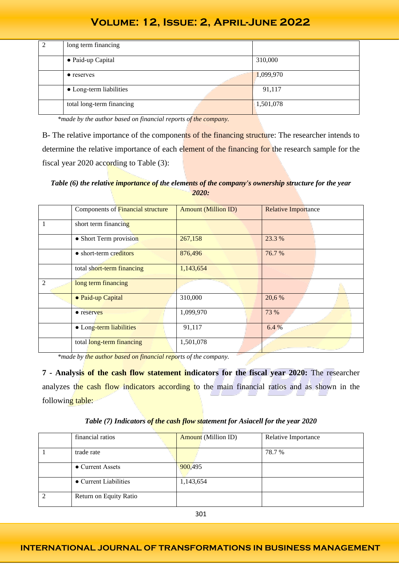| long term financing       |           |
|---------------------------|-----------|
| • Paid-up Capital         | 310,000   |
| $\bullet$ reserves        | 1,099,970 |
| • Long-term liabilities   | 91,117    |
| total long-term financing | 1,501,078 |

 *\*made by the author based on financial reports of the company.*

B- The relative importance of the components of the financing structure: The researcher intends to determine the relative importance of each element of the financing for the research sample for the fiscal year 2020 according to Table (3):

*Table (6) the relative importance of the elements of the company's ownership structure for the year 2020:*

|                | Components of Financial structure | <b>Amount (Million ID)</b> | <b>Relative Importance</b> |
|----------------|-----------------------------------|----------------------------|----------------------------|
|                | short term financing              |                            |                            |
|                | • Short Term provision            | 267,158                    | 23.3 %                     |
|                | • short-term creditors            | 876,496                    | 76.7%                      |
|                | total short-term financing        | 1,143,654                  |                            |
| $\mathfrak{D}$ | long term financing               |                            |                            |
|                | • Paid-up Capital                 | 310,000                    | 20,6 %                     |
|                | • reserves                        | 1,099,970                  | 73 %                       |
|                | • Long-term liabilities           | 91,117                     | 6.4 %                      |
|                | total long-term financing         | 1,501,078                  |                            |

 *\*made by the author based on financial reports of the company.*

**7 - Analysis of the cash flow statement indicators for the fiscal year 2020:** The researcher analyzes the cash flow indicators according to the main financial ratios and as shown in the following table:

| financial ratios       | <b>Amount</b> (Million ID) | Relative Importance |
|------------------------|----------------------------|---------------------|
| trade rate             |                            | 78.7 %              |
| • Current Assets       | 900,495                    |                     |
| • Current Liabilities  | 1,143,654                  |                     |
| Return on Equity Ratio |                            |                     |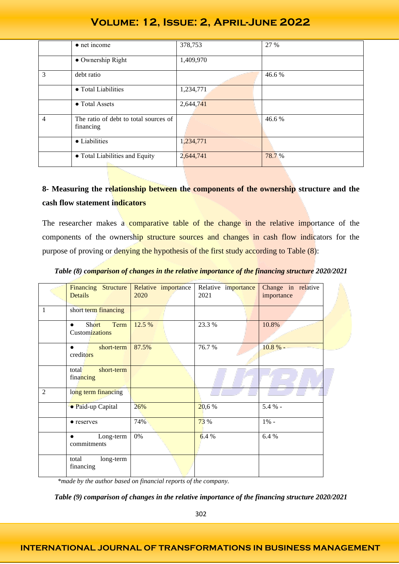|                | $\bullet$ net income                               | 378,753   | 27 %  |
|----------------|----------------------------------------------------|-----------|-------|
|                | • Ownership Right                                  | 1,409,970 |       |
| 3              | debt ratio                                         |           | 46.6% |
|                | • Total Liabilities                                | 1,234,771 |       |
|                | • Total Assets                                     | 2,644,741 |       |
| $\overline{4}$ | The ratio of debt to total sources of<br>financing |           | 46.6% |
|                | • Liabilities                                      | 1,234,771 |       |
|                | • Total Liabilities and Equity                     | 2,644,741 | 78.7% |

# **8- Measuring the relationship between the components of the ownership structure and the cash flow statement indicators**

The researcher makes a comparative table of the change in the relative importance of the components of the ownership structure sources and changes in cash flow indicators for the purpose of proving or denying the hypothesis of the first study according to Table (8):

|                | Financing Structure<br><b>Details</b>        | Relative importance<br>2020 | Relative importance<br>2021 | Change in relative<br>importance |
|----------------|----------------------------------------------|-----------------------------|-----------------------------|----------------------------------|
| $\mathbf{1}$   | short term financing                         |                             |                             |                                  |
|                | Short<br>Term<br>$\bullet$<br>Customizations | 12.5 %                      | 23.3 %                      | 10.8%                            |
|                | short-term<br>$\bullet$<br>creditors         | 87.5%                       | 76.7%                       | 10.8%                            |
|                | short-term<br>total<br>financing             |                             |                             |                                  |
| $\overline{2}$ | long term financing                          |                             |                             |                                  |
|                | · Paid-up Capital                            | 26%                         | 20,6%                       | 5.4 % -                          |
|                | • reserves                                   | 74%                         | 73 %                        | $1\%$ -                          |
|                | Long-term<br>$\bullet$<br>commitments        | 0%                          | 6.4%                        | 6.4%                             |
|                | total<br>long-term<br>financing              |                             |                             |                                  |

*Table (8) comparison of changes in the relative importance of the financing structure 2020/2021*

 *\*made by the author based on financial reports of the company.*

*Table (9) comparison of changes in the relative importance of the financing structure 2020/2021*

### **INTERNATIONAL JOURNAL OF TRANSFORMATIONS IN BUSINESS MANAGEMENT**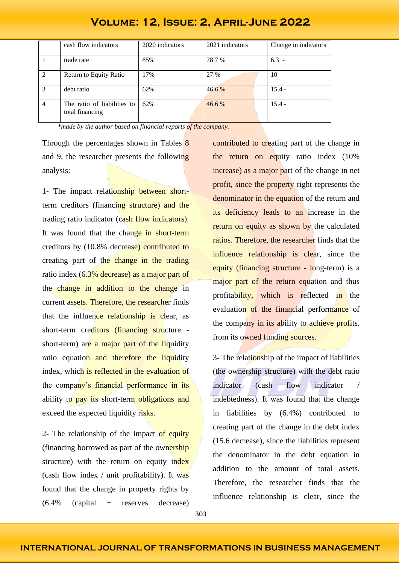|                | cash flow indicators                           | 2020 indicators | 2021 indicators | Change in indicators |
|----------------|------------------------------------------------|-----------------|-----------------|----------------------|
|                | trade rate                                     | 85%             | 78.7 %          | $6.3 -$              |
| 2              | Return to Equity Ratio                         | 17%             | 27 %            | 10                   |
| 3              | debt ratio                                     | 62%             | $46.6\%$        | $15.4 -$             |
| $\overline{4}$ | The ratio of liabilities to<br>total financing | 62%             | 46.6 %          | $15.4 -$             |

 *\*made by the author based on financial reports of the company.*

Through the percentages shown in Tables 8 and 9, the researcher presents the following analysis:

1- The impact relationship between shortterm creditors (financing structure) and the trading ratio indicator (cash flow indicators). It was found that the change in short-term creditors by (10.8% decrease) contributed to creating part of the change in the trading ratio index (6.3% decrease) as a major part of the change in addition to the change in current assets. Therefore, the researcher finds that the influence relationship is clear, as short-term creditors (financing structure short-term) are a major part of the liquidity ratio equation and therefore the liquidity index, which is reflected in the evaluation of the company's financial performance in its ability to pay its short-term obligations and exceed the expected liquidity risks.

2- The relationship of the impact of equity (financing borrowed as part of the ownership structure) with the return on equity index (cash flow index / unit profitability). It was found that the change in property rights by  $(6.4\%$   $(capital + \text{reserves} \text{ decrease})$ 

contributed to creating part of the change in the return on equity ratio index (10% increase) as a major part of the change in net profit, since the property right represents the denominator in the equation of the return and its deficiency leads to an increase in the return on equity as shown by the calculated ratios. Therefore, the researcher finds that the influence relationship is clear, since the equity (financing structure - long-term) is a major part of the return equation and thus profitability, which is reflected in the evaluation of the financial performance of the company in its ability to achieve profits. from its owned funding sources.

3- The relationship of the impact of liabilities (the ownership structure) with the debt ratio indicator (cash flow indicator indebtedness). It was found that the change in liabilities by (6.4%) contributed to creating part of the change in the debt index (15.6 decrease), since the liabilities represent the denominator in the debt equation in addition to the amount of total assets. Therefore, the researcher finds that the influence relationship is clear, since the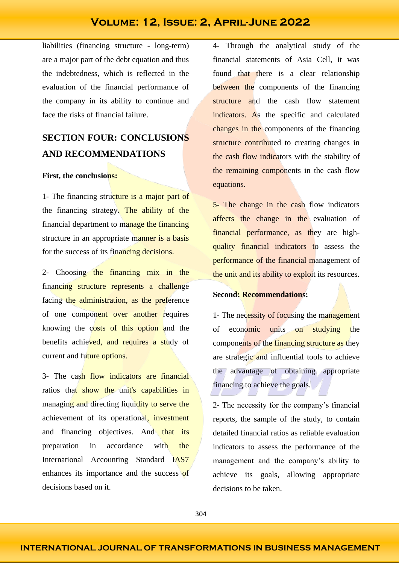liabilities (financing structure - long-term) are a major part of the debt equation and thus the indebtedness, which is reflected in the evaluation of the financial performance of the company in its ability to continue and face the risks of financial failure.

# **SECTION FOUR: CONCLUSIONS AND RECOMMENDATIONS**

### **First, the conclusions:**

1- The financing structure is a major part of the financing strategy. The ability of the financial department to manage the financing structure in an appropriate manner is a basis for the success of its financing decisions.

2- Choosing the financing mix in the financing structure represents a challenge facing the administration, as the preference of one component over another requires knowing the costs of this option and the benefits achieved, and requires a study of current and future options.

3- The cash flow indicators are financial ratios that show the unit's capabilities in managing and directing liquidity to serve the achievement of its operational, investment and financing objectives. And that its preparation in accordance with the International Accounting Standard IAS7 enhances its importance and the success of decisions based on it.

4- Through the analytical study of the financial statements of Asia Cell, it was found that there is a clear relationship between the components of the financing structure and the cash flow statement indicators. As the specific and calculated changes in the components of the financing structure contributed to creating changes in the cash flow indicators with the stability of the remaining components in the cash flow equations.

5- The change in the cash flow indicators affects the change in the evaluation of financial performance, as they are highquality financial indicators to assess the performance of the financial management of the unit and its ability to exploit its resources.

### **Second: Recommendations:**

1- The necessity of focusing the management of economic units on studying the components of the financing structure as they are strategic and influential tools to achieve the advantage of obtaining appropriate financing to achieve the goals.

2- The necessity for the company's financial reports, the sample of the study, to contain detailed financial ratios as reliable evaluation indicators to assess the performance of the management and the company's ability to achieve its goals, allowing appropriate decisions to be taken.